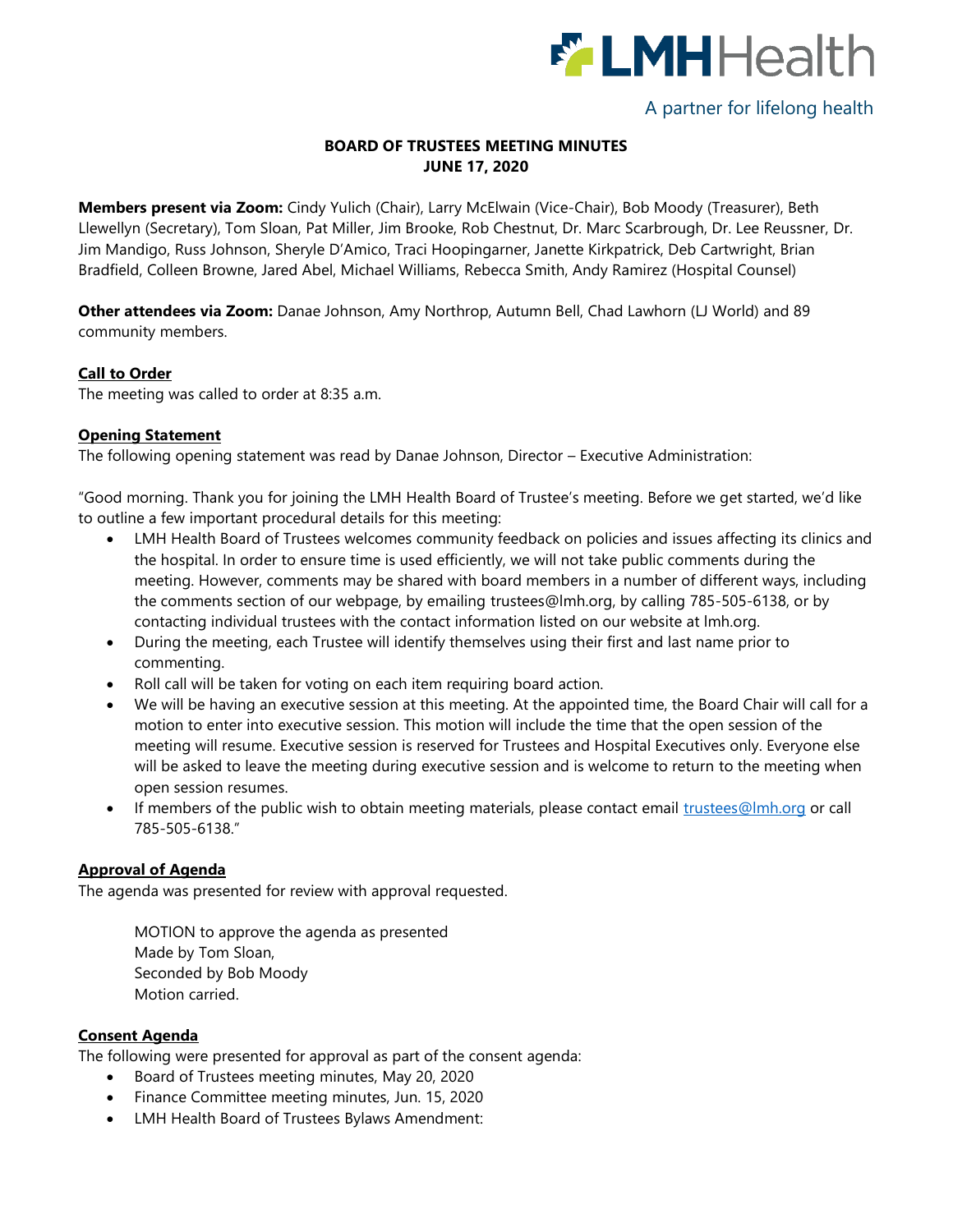

# A partner for lifelong health

# **BOARD OF TRUSTEES MEETING MINUTES JUNE 17, 2020**

**Members present via Zoom:** Cindy Yulich (Chair), Larry McElwain (Vice-Chair), Bob Moody (Treasurer), Beth Llewellyn (Secretary), Tom Sloan, Pat Miller, Jim Brooke, Rob Chestnut, Dr. Marc Scarbrough, Dr. Lee Reussner, Dr. Jim Mandigo, Russ Johnson, Sheryle D'Amico, Traci Hoopingarner, Janette Kirkpatrick, Deb Cartwright, Brian Bradfield, Colleen Browne, Jared Abel, Michael Williams, Rebecca Smith, Andy Ramirez (Hospital Counsel)

**Other attendees via Zoom:** Danae Johnson, Amy Northrop, Autumn Bell, Chad Lawhorn (LJ World) and 89 community members.

#### **Call to Order**

The meeting was called to order at 8:35 a.m.

## **Opening Statement**

The following opening statement was read by Danae Johnson, Director – Executive Administration:

"Good morning. Thank you for joining the LMH Health Board of Trustee's meeting. Before we get started, we'd like to outline a few important procedural details for this meeting:

- LMH Health Board of Trustees welcomes community feedback on policies and issues affecting its clinics and the hospital. In order to ensure time is used efficiently, we will not take public comments during the meeting. However, comments may be shared with board members in a number of different ways, including the comments section of our webpage, by emailing [trustees@lmh.org,](mailto:trustees@lmh.org) by calling 785-505-6138, or by contacting individual trustees with the contact information listed on our website at lmh.org.
- During the meeting, each Trustee will identify themselves using their first and last name prior to commenting.
- Roll call will be taken for voting on each item requiring board action.
- We will be having an executive session at this meeting. At the appointed time, the Board Chair will call for a motion to enter into executive session. This motion will include the time that the open session of the meeting will resume. Executive session is reserved for Trustees and Hospital Executives only. Everyone else will be asked to leave the meeting during executive session and is welcome to return to the meeting when open session resumes.
- If members of the public wish to obtain meeting materials, please contact email [trustees@lmh.org](mailto:trustees@lmh.org) or call 785-505-6138."

## **Approval of Agenda**

The agenda was presented for review with approval requested.

MOTION to approve the agenda as presented Made by Tom Sloan, Seconded by Bob Moody Motion carried.

## **Consent Agenda**

The following were presented for approval as part of the consent agenda:

- Board of Trustees meeting minutes, May 20, 2020
- Finance Committee meeting minutes, Jun. 15, 2020
- LMH Health Board of Trustees Bylaws Amendment: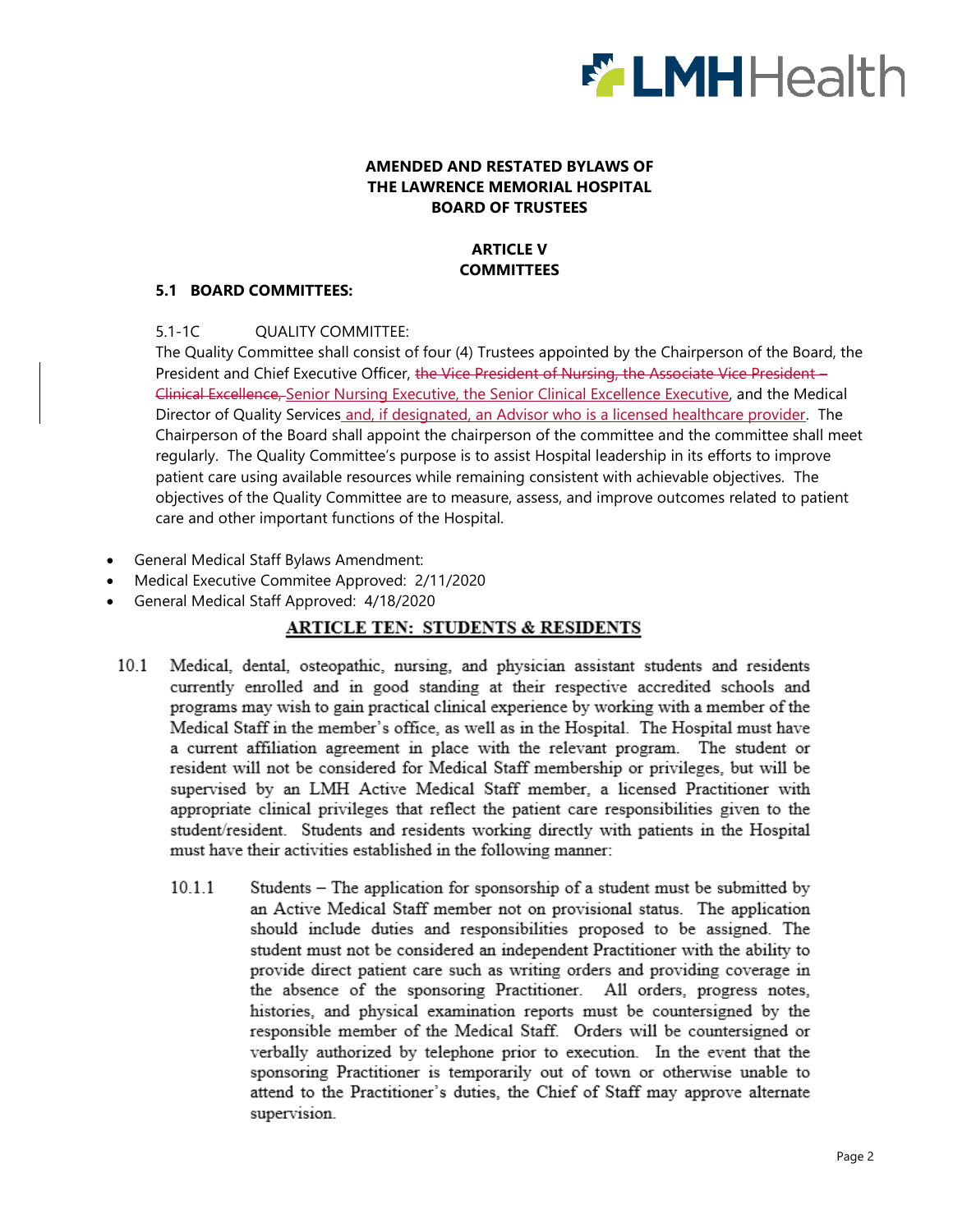

## **AMENDED AND RESTATED BYLAWS OF THE LAWRENCE MEMORIAL HOSPITAL BOARD OF TRUSTEES**

# **ARTICLE V COMMITTEES**

## **5.1 BOARD COMMITTEES:**

## 5.1-1C QUALITY COMMITTEE:

The Quality Committee shall consist of four (4) Trustees appointed by the Chairperson of the Board, the President and Chief Executive Officer, the Vice President of Nursing, the Associate Vice President -Clinical Excellence, Senior Nursing Executive, the Senior Clinical Excellence Executive, and the Medical Director of Quality Services and, if designated, an Advisor who is a licensed healthcare provider. The Chairperson of the Board shall appoint the chairperson of the committee and the committee shall meet regularly. The Quality Committee's purpose is to assist Hospital leadership in its efforts to improve patient care using available resources while remaining consistent with achievable objectives. The objectives of the Quality Committee are to measure, assess, and improve outcomes related to patient care and other important functions of the Hospital.

- General Medical Staff Bylaws Amendment:
- Medical Executive Commitee Approved: 2/11/2020
- General Medical Staff Approved: 4/18/2020

# **ARTICLE TEN: STUDENTS & RESIDENTS**

- $10.1$ Medical, dental, osteopathic, nursing, and physician assistant students and residents currently enrolled and in good standing at their respective accredited schools and programs may wish to gain practical clinical experience by working with a member of the Medical Staff in the member's office, as well as in the Hospital. The Hospital must have a current affiliation agreement in place with the relevant program. The student or resident will not be considered for Medical Staff membership or privileges, but will be supervised by an LMH Active Medical Staff member, a licensed Practitioner with appropriate clinical privileges that reflect the patient care responsibilities given to the student/resident. Students and residents working directly with patients in the Hospital must have their activities established in the following manner:
	- $10.1.1$ Students - The application for sponsorship of a student must be submitted by an Active Medical Staff member not on provisional status. The application should include duties and responsibilities proposed to be assigned. The student must not be considered an independent Practitioner with the ability to provide direct patient care such as writing orders and providing coverage in the absence of the sponsoring Practitioner. All orders, progress notes, histories, and physical examination reports must be countersigned by the responsible member of the Medical Staff. Orders will be countersigned or verbally authorized by telephone prior to execution. In the event that the sponsoring Practitioner is temporarily out of town or otherwise unable to attend to the Practitioner's duties, the Chief of Staff may approve alternate supervision.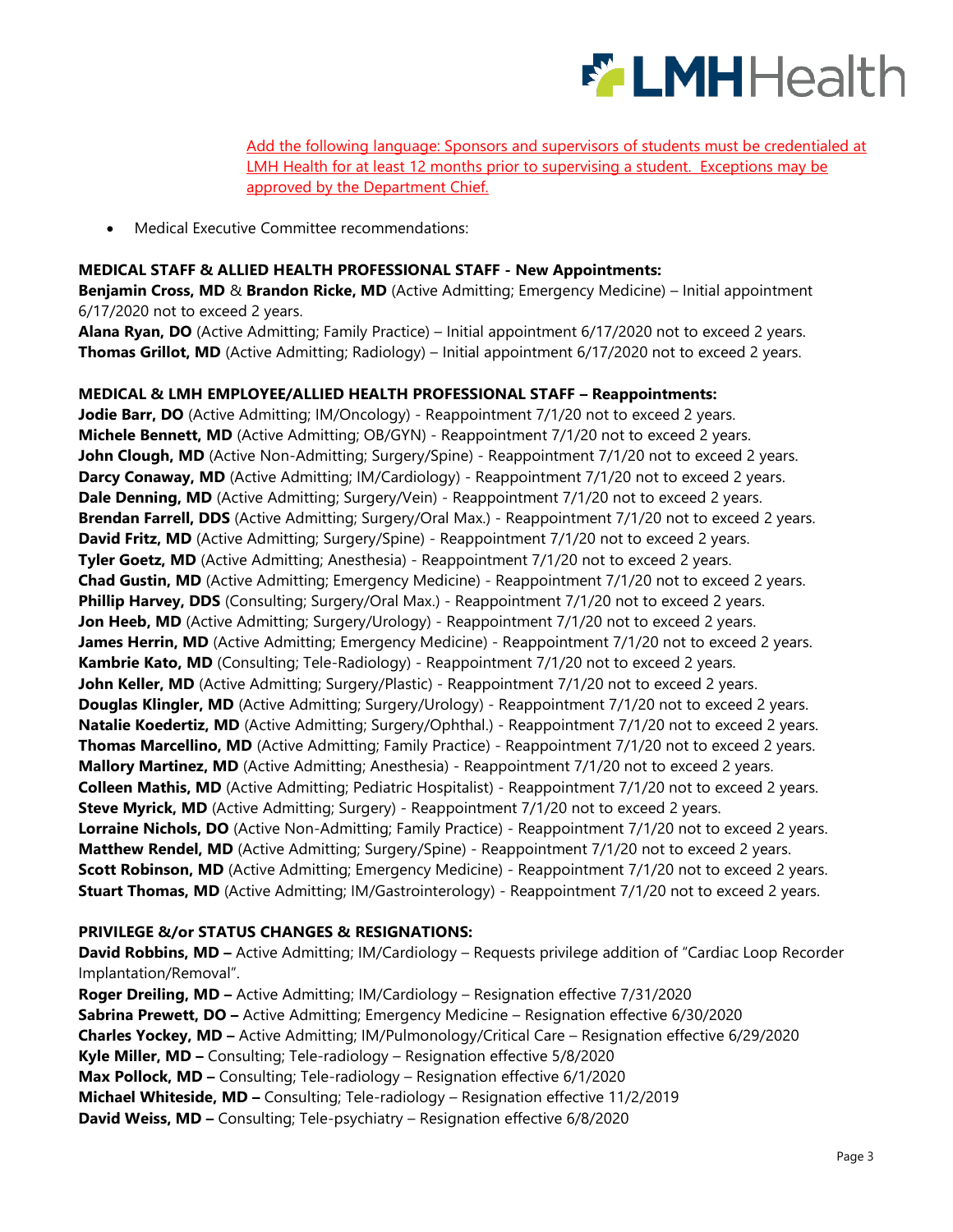

Add the following language: Sponsors and supervisors of students must be credentialed at LMH Health for at least 12 months prior to supervising a student. Exceptions may be approved by the Department Chief.

Medical Executive Committee recommendations:

#### **MEDICAL STAFF & ALLIED HEALTH PROFESSIONAL STAFF - New Appointments:**

**Benjamin Cross, MD** & **Brandon Ricke, MD** (Active Admitting; Emergency Medicine) – Initial appointment 6/17/2020 not to exceed 2 years.

**Alana Ryan, DO** (Active Admitting; Family Practice) – Initial appointment 6/17/2020 not to exceed 2 years. **Thomas Grillot, MD** (Active Admitting; Radiology) – Initial appointment 6/17/2020 not to exceed 2 years.

#### **MEDICAL & LMH EMPLOYEE/ALLIED HEALTH PROFESSIONAL STAFF – Reappointments:**

Jodie Barr, DO (Active Admitting; IM/Oncology) - Reappointment 7/1/20 not to exceed 2 years. **Michele Bennett, MD** (Active Admitting; OB/GYN) - Reappointment 7/1/20 not to exceed 2 years. John Clough, MD (Active Non-Admitting; Surgery/Spine) - Reappointment 7/1/20 not to exceed 2 years. **Darcy Conaway, MD** (Active Admitting; IM/Cardiology) - Reappointment 7/1/20 not to exceed 2 years. **Dale Denning, MD** (Active Admitting; Surgery/Vein) - Reappointment 7/1/20 not to exceed 2 years. **Brendan Farrell, DDS** (Active Admitting; Surgery/Oral Max.) - Reappointment 7/1/20 not to exceed 2 years. **David Fritz, MD** (Active Admitting; Surgery/Spine) - Reappointment 7/1/20 not to exceed 2 years. **Tyler Goetz, MD** (Active Admitting; Anesthesia) - Reappointment 7/1/20 not to exceed 2 years. **Chad Gustin, MD** (Active Admitting; Emergency Medicine) - Reappointment 7/1/20 not to exceed 2 years. **Phillip Harvey, DDS** (Consulting; Surgery/Oral Max.) - Reappointment 7/1/20 not to exceed 2 years. Jon Heeb, MD (Active Admitting; Surgery/Urology) - Reappointment 7/1/20 not to exceed 2 years. **James Herrin, MD** (Active Admitting; Emergency Medicine) - Reappointment 7/1/20 not to exceed 2 years. Kambrie Kato, MD (Consulting; Tele-Radiology) - Reappointment 7/1/20 not to exceed 2 years. **John Keller, MD** (Active Admitting; Surgery/Plastic) - Reappointment 7/1/20 not to exceed 2 years. **Douglas Klingler, MD** (Active Admitting; Surgery/Urology) - Reappointment 7/1/20 not to exceed 2 years. **Natalie Koedertiz, MD** (Active Admitting; Surgery/Ophthal.) - Reappointment 7/1/20 not to exceed 2 years. **Thomas Marcellino, MD** (Active Admitting; Family Practice) - Reappointment 7/1/20 not to exceed 2 years. **Mallory Martinez, MD** (Active Admitting; Anesthesia) - Reappointment 7/1/20 not to exceed 2 years. **Colleen Mathis, MD** (Active Admitting; Pediatric Hospitalist) - Reappointment 7/1/20 not to exceed 2 years. **Steve Myrick, MD** (Active Admitting; Surgery) - Reappointment 7/1/20 not to exceed 2 years. **Lorraine Nichols, DO** (Active Non-Admitting; Family Practice) - Reappointment 7/1/20 not to exceed 2 years. **Matthew Rendel, MD** (Active Admitting; Surgery/Spine) - Reappointment 7/1/20 not to exceed 2 years. **Scott Robinson, MD** (Active Admitting; Emergency Medicine) - Reappointment 7/1/20 not to exceed 2 years. **Stuart Thomas, MD** (Active Admitting; IM/Gastrointerology) - Reappointment 7/1/20 not to exceed 2 years.

#### **PRIVILEGE &/or STATUS CHANGES & RESIGNATIONS:**

**David Robbins, MD –** Active Admitting; IM/Cardiology – Requests privilege addition of "Cardiac Loop Recorder Implantation/Removal".

**Roger Dreiling, MD –** Active Admitting; IM/Cardiology – Resignation effective 7/31/2020 **Sabrina Prewett, DO –** Active Admitting; Emergency Medicine – Resignation effective 6/30/2020 **Charles Yockey, MD –** Active Admitting; IM/Pulmonology/Critical Care – Resignation effective 6/29/2020 **Kyle Miller, MD –** Consulting; Tele-radiology – Resignation effective 5/8/2020 **Max Pollock, MD –** Consulting; Tele-radiology – Resignation effective 6/1/2020 **Michael Whiteside, MD –** Consulting; Tele-radiology – Resignation effective 11/2/2019 **David Weiss, MD –** Consulting; Tele-psychiatry – Resignation effective 6/8/2020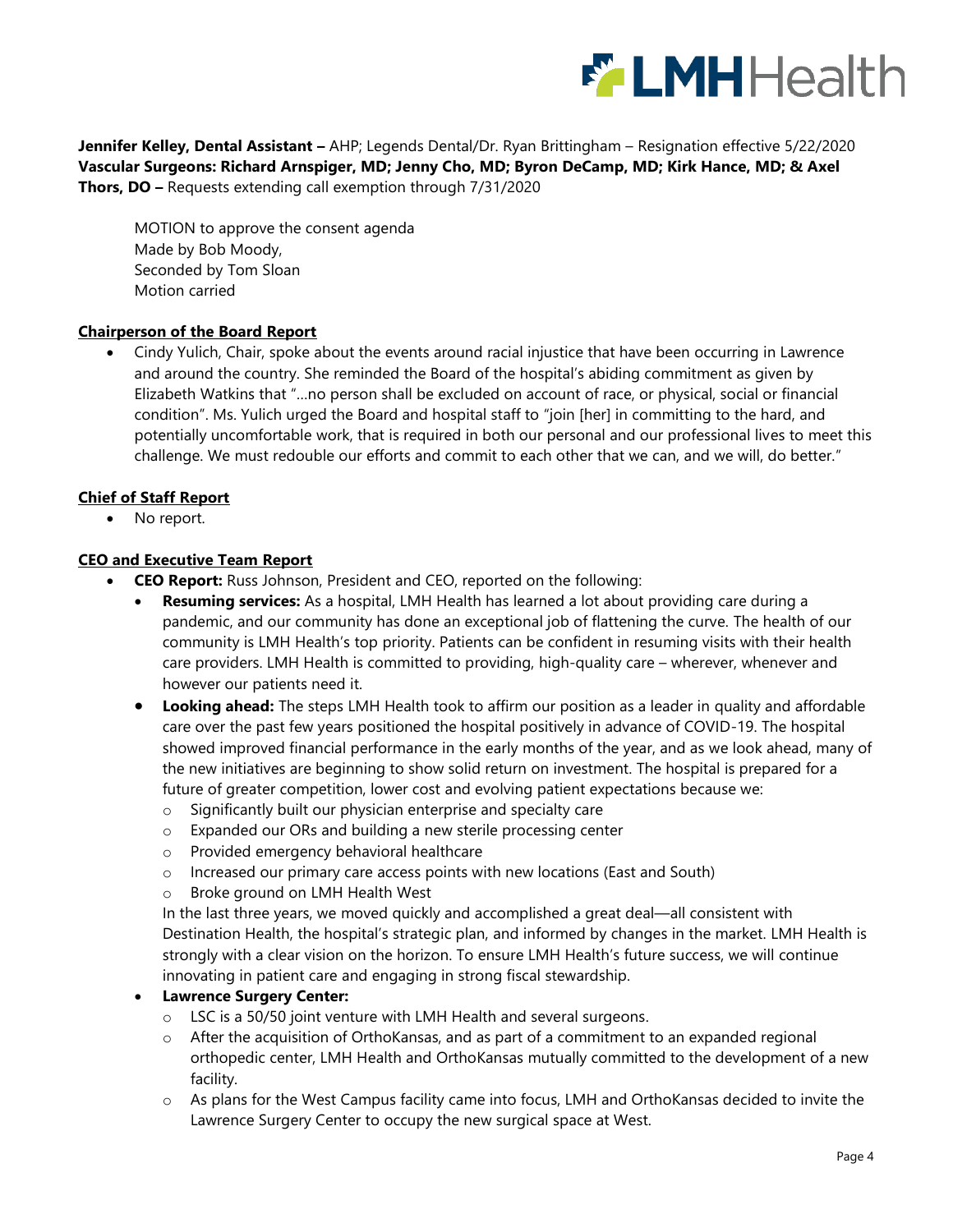

**Jennifer Kelley, Dental Assistant –** AHP; Legends Dental/Dr. Ryan Brittingham – Resignation effective 5/22/2020 **Vascular Surgeons: Richard Arnspiger, MD; Jenny Cho, MD; Byron DeCamp, MD; Kirk Hance, MD; & Axel Thors, DO –** Requests extending call exemption through 7/31/2020

MOTION to approve the consent agenda Made by Bob Moody, Seconded by Tom Sloan Motion carried

## **Chairperson of the Board Report**

 Cindy Yulich, Chair, spoke about the events around racial injustice that have been occurring in Lawrence and around the country. She reminded the Board of the hospital's abiding commitment as given by Elizabeth Watkins that "…no person shall be excluded on account of race, or physical, social or financial condition". Ms. Yulich urged the Board and hospital staff to "join [her] in committing to the hard, and potentially uncomfortable work, that is required in both our personal and our professional lives to meet this challenge. We must redouble our efforts and commit to each other that we can, and we will, do better."

#### **Chief of Staff Report**

• No report.

#### **CEO and Executive Team Report**

- **CEO Report:** Russ Johnson, President and CEO, reported on the following:
	- **Resuming services:** As a hospital, LMH Health has learned a lot about providing care during a pandemic, and our community has done an exceptional job of flattening the curve. The health of our community is LMH Health's top priority. Patients can be confident in resuming visits with their health care providers. LMH Health is committed to providing, high-quality care – wherever, whenever and however our patients need it.
	- **Looking ahead:** The steps LMH Health took to affirm our position as a leader in quality and affordable care over the past few years positioned the hospital positively in advance of COVID-19. The hospital showed improved financial performance in the early months of the year, and as we look ahead, many of the new initiatives are beginning to show solid return on investment. The hospital is prepared for a future of greater competition, lower cost and evolving patient expectations because we:
		- o Significantly built our physician enterprise and specialty care
		- o Expanded our ORs and building a new sterile processing center
		- o Provided emergency behavioral healthcare
		- o Increased our primary care access points with new locations (East and South)
		- o Broke ground on LMH Health West

In the last three years, we moved quickly and accomplished a great deal—all consistent with Destination Health, the hospital's strategic plan, and informed by changes in the market. LMH Health is strongly with a clear vision on the horizon. To ensure LMH Health's future success, we will continue innovating in patient care and engaging in strong fiscal stewardship.

#### **Lawrence Surgery Center:**

- o LSC is a 50/50 joint venture with LMH Health and several surgeons.
- o After the acquisition of OrthoKansas, and as part of a commitment to an expanded regional orthopedic center, LMH Health and OrthoKansas mutually committed to the development of a new facility.
- $\circ$  As plans for the West Campus facility came into focus, LMH and OrthoKansas decided to invite the Lawrence Surgery Center to occupy the new surgical space at West.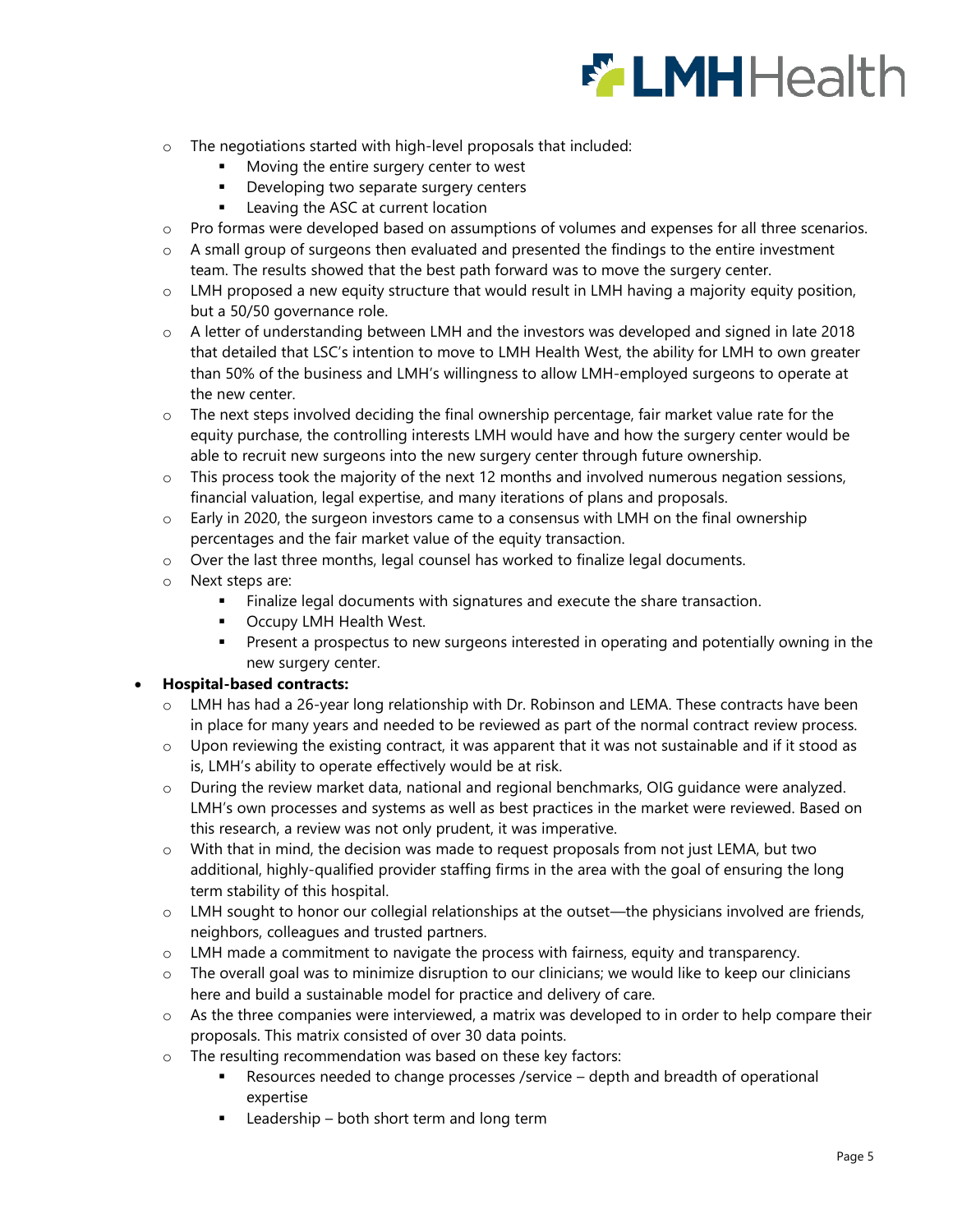

- o The negotiations started with high-level proposals that included:
	- Moving the entire surgery center to west
	- **Developing two separate surgery centers**
	- **EXECUTE:** Leaving the ASC at current location
- o Pro formas were developed based on assumptions of volumes and expenses for all three scenarios.
- $\circ$  A small group of surgeons then evaluated and presented the findings to the entire investment team. The results showed that the best path forward was to move the surgery center.
- o LMH proposed a new equity structure that would result in LMH having a majority equity position, but a 50/50 governance role.
- o A letter of understanding between LMH and the investors was developed and signed in late 2018 that detailed that LSC's intention to move to LMH Health West, the ability for LMH to own greater than 50% of the business and LMH's willingness to allow LMH-employed surgeons to operate at the new center.
- $\circ$  The next steps involved deciding the final ownership percentage, fair market value rate for the equity purchase, the controlling interests LMH would have and how the surgery center would be able to recruit new surgeons into the new surgery center through future ownership.
- $\circ$  This process took the majority of the next 12 months and involved numerous negation sessions, financial valuation, legal expertise, and many iterations of plans and proposals.
- $\circ$  Early in 2020, the surgeon investors came to a consensus with LMH on the final ownership percentages and the fair market value of the equity transaction.
- o Over the last three months, legal counsel has worked to finalize legal documents.
- o Next steps are:
	- Finalize legal documents with signatures and execute the share transaction.
	- **Occupy LMH Health West.**
	- **Present a prospectus to new surgeons interested in operating and potentially owning in the** new surgery center.

## **Hospital-based contracts:**

- o LMH has had a 26-year long relationship with Dr. Robinson and LEMA. These contracts have been in place for many years and needed to be reviewed as part of the normal contract review process.
- $\circ$  Upon reviewing the existing contract, it was apparent that it was not sustainable and if it stood as is, LMH's ability to operate effectively would be at risk.
- o During the review market data, national and regional benchmarks, OIG guidance were analyzed. LMH's own processes and systems as well as best practices in the market were reviewed. Based on this research, a review was not only prudent, it was imperative.
- $\circ$  With that in mind, the decision was made to request proposals from not just LEMA, but two additional, highly-qualified provider staffing firms in the area with the goal of ensuring the long term stability of this hospital.
- $\circ$  LMH sought to honor our collegial relationships at the outset—the physicians involved are friends, neighbors, colleagues and trusted partners.
- $\circ$  LMH made a commitment to navigate the process with fairness, equity and transparency.
- o The overall goal was to minimize disruption to our clinicians; we would like to keep our clinicians here and build a sustainable model for practice and delivery of care.
- $\circ$  As the three companies were interviewed, a matrix was developed to in order to help compare their proposals. This matrix consisted of over 30 data points.
- o The resulting recommendation was based on these key factors:
	- Resources needed to change processes /service depth and breadth of operational expertise
	- Leadership both short term and long term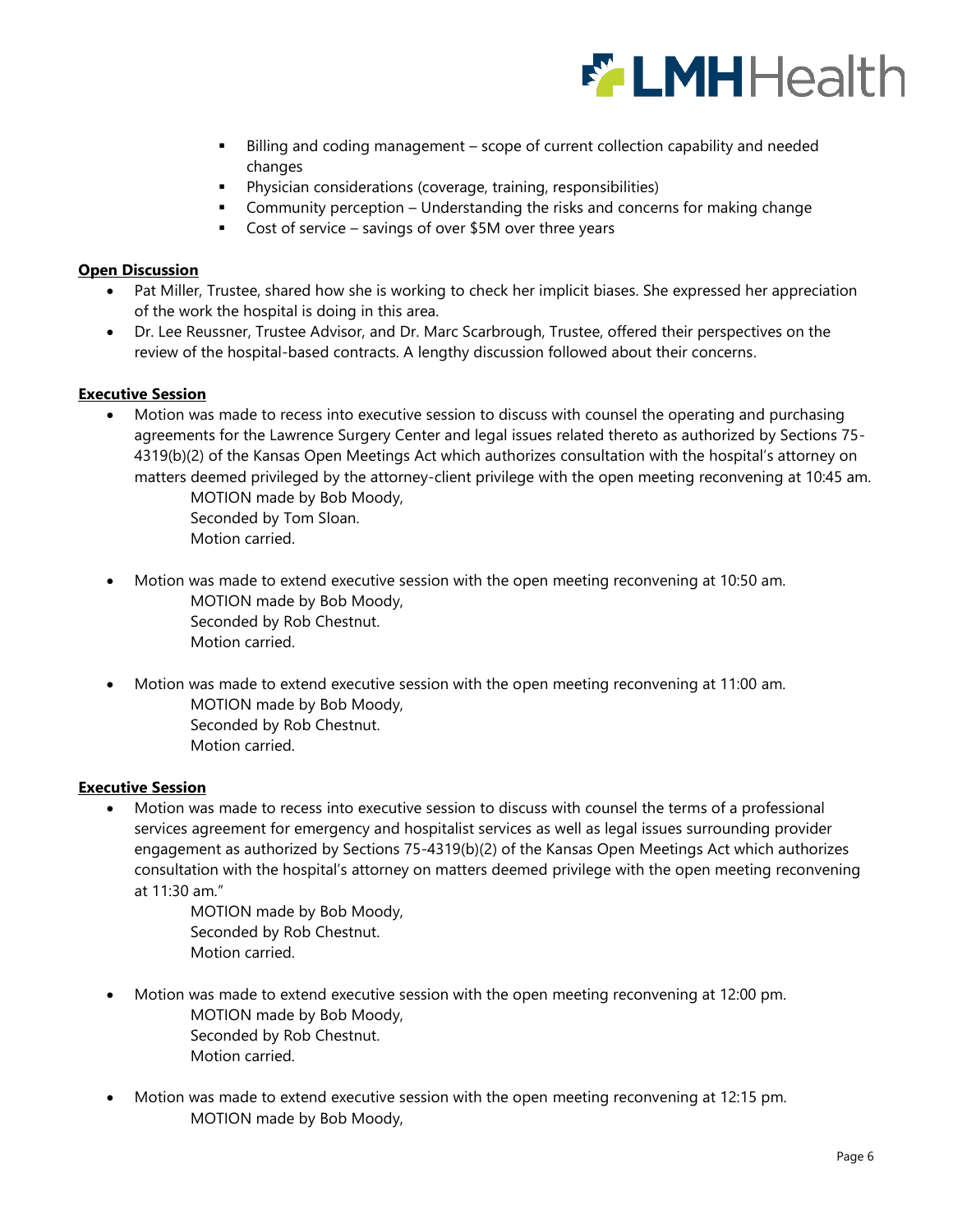

- Billing and coding management scope of current collection capability and needed changes
- Physician considerations (coverage, training, responsibilities)
- Community perception Understanding the risks and concerns for making change
- Cost of service savings of over \$5M over three years

## **Open Discussion**

- Pat Miller, Trustee, shared how she is working to check her implicit biases. She expressed her appreciation of the work the hospital is doing in this area.
- Dr. Lee Reussner, Trustee Advisor, and Dr. Marc Scarbrough, Trustee, offered their perspectives on the review of the hospital-based contracts. A lengthy discussion followed about their concerns.

## **Executive Session**

 Motion was made to recess into executive session to discuss with counsel the operating and purchasing agreements for the Lawrence Surgery Center and legal issues related thereto as authorized by Sections 75- 4319(b)(2) of the Kansas Open Meetings Act which authorizes consultation with the hospital's attorney on matters deemed privileged by the attorney-client privilege with the open meeting reconvening at 10:45 am.

> MOTION made by Bob Moody, Seconded by Tom Sloan. Motion carried.

- Motion was made to extend executive session with the open meeting reconvening at 10:50 am. MOTION made by Bob Moody, Seconded by Rob Chestnut. Motion carried.
- Motion was made to extend executive session with the open meeting reconvening at 11:00 am. MOTION made by Bob Moody, Seconded by Rob Chestnut. Motion carried.

## **Executive Session**

 Motion was made to recess into executive session to discuss with counsel the terms of a professional services agreement for emergency and hospitalist services as well as legal issues surrounding provider engagement as authorized by Sections 75-4319(b)(2) of the Kansas Open Meetings Act which authorizes consultation with the hospital's attorney on matters deemed privilege with the open meeting reconvening at 11:30 am."

> MOTION made by Bob Moody, Seconded by Rob Chestnut. Motion carried.

- Motion was made to extend executive session with the open meeting reconvening at 12:00 pm. MOTION made by Bob Moody, Seconded by Rob Chestnut. Motion carried.
- Motion was made to extend executive session with the open meeting reconvening at 12:15 pm. MOTION made by Bob Moody,